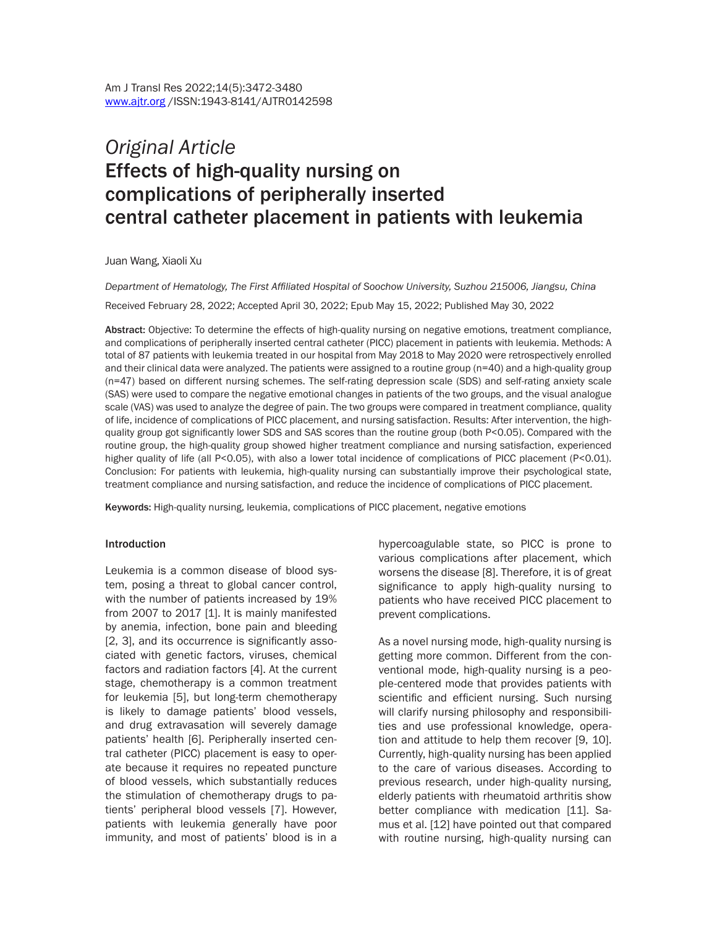# *Original Article* Effects of high-quality nursing on complications of peripherally inserted central catheter placement in patients with leukemia

Juan Wang, Xiaoli Xu

*Department of Hematology, The First Affiliated Hospital of Soochow University, Suzhou 215006, Jiangsu, China*

Received February 28, 2022; Accepted April 30, 2022; Epub May 15, 2022; Published May 30, 2022

Abstract: Objective: To determine the effects of high-quality nursing on negative emotions, treatment compliance, and complications of peripherally inserted central catheter (PICC) placement in patients with leukemia. Methods: A total of 87 patients with leukemia treated in our hospital from May 2018 to May 2020 were retrospectively enrolled and their clinical data were analyzed. The patients were assigned to a routine group (n=40) and a high-quality group (n=47) based on different nursing schemes. The self-rating depression scale (SDS) and self-rating anxiety scale (SAS) were used to compare the negative emotional changes in patients of the two groups, and the visual analogue scale (VAS) was used to analyze the degree of pain. The two groups were compared in treatment compliance, quality of life, incidence of complications of PICC placement, and nursing satisfaction. Results: After intervention, the highquality group got significantly lower SDS and SAS scores than the routine group (both P<0.05). Compared with the routine group, the high-quality group showed higher treatment compliance and nursing satisfaction, experienced higher quality of life (all P<0.05), with also a lower total incidence of complications of PICC placement (P<0.01). Conclusion: For patients with leukemia, high-quality nursing can substantially improve their psychological state, treatment compliance and nursing satisfaction, and reduce the incidence of complications of PICC placement.

Keywords: High-quality nursing, leukemia, complications of PICC placement, negative emotions

#### Introduction

Leukemia is a common disease of blood system, posing a threat to global cancer control, with the number of patients increased by 19% from 2007 to 2017 [1]. It is mainly manifested by anemia, infection, bone pain and bleeding [2, 3], and its occurrence is significantly associated with genetic factors, viruses, chemical factors and radiation factors [4]. At the current stage, chemotherapy is a common treatment for leukemia [5], but long-term chemotherapy is likely to damage patients' blood vessels, and drug extravasation will severely damage patients' health [6]. Peripherally inserted central catheter (PICC) placement is easy to operate because it requires no repeated puncture of blood vessels, which substantially reduces the stimulation of chemotherapy drugs to patients' peripheral blood vessels [7]. However, patients with leukemia generally have poor immunity, and most of patients' blood is in a

hypercoagulable state, so PICC is prone to various complications after placement, which worsens the disease [8]. Therefore, it is of great significance to apply high-quality nursing to patients who have received PICC placement to prevent complications.

As a novel nursing mode, high-quality nursing is getting more common. Different from the conventional mode, high-quality nursing is a people-centered mode that provides patients with scientific and efficient nursing. Such nursing will clarify nursing philosophy and responsibilities and use professional knowledge, operation and attitude to help them recover [9, 10]. Currently, high-quality nursing has been applied to the care of various diseases. According to previous research, under high-quality nursing, elderly patients with rheumatoid arthritis show better compliance with medication [11]. Samus et al. [12] have pointed out that compared with routine nursing, high-quality nursing can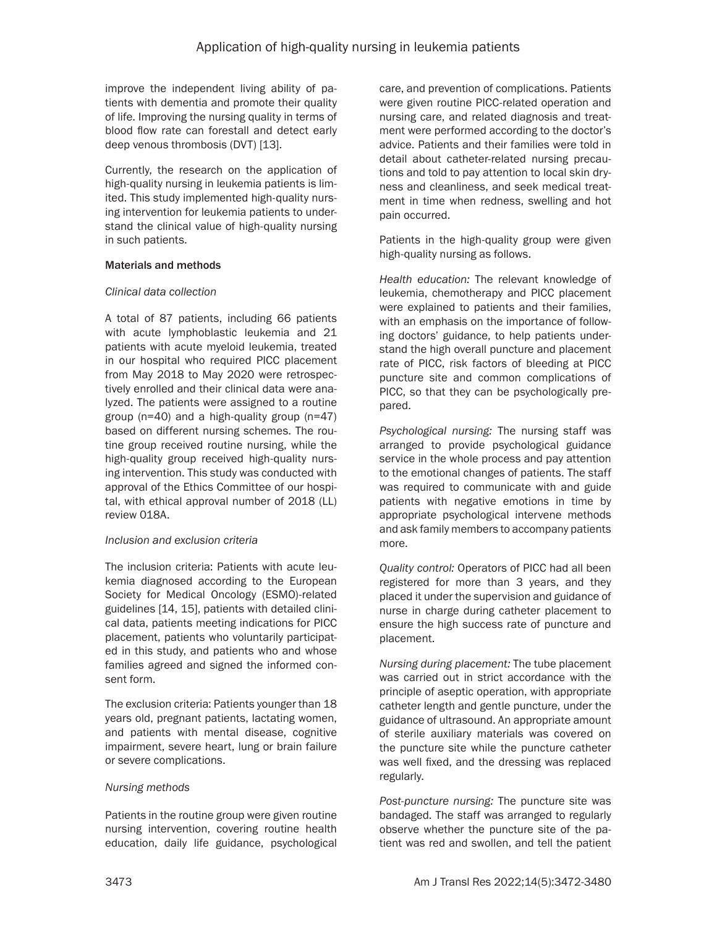improve the independent living ability of patients with dementia and promote their quality of life. Improving the nursing quality in terms of blood flow rate can forestall and detect early deep venous thrombosis (DVT) [13].

Currently, the research on the application of high-quality nursing in leukemia patients is limited. This study implemented high-quality nursing intervention for leukemia patients to understand the clinical value of high-quality nursing in such patients.

## Materials and methods

# *Clinical data collection*

A total of 87 patients, including 66 patients with acute lymphoblastic leukemia and 21 patients with acute myeloid leukemia, treated in our hospital who required PICC placement from May 2018 to May 2020 were retrospectively enrolled and their clinical data were analyzed. The patients were assigned to a routine group (n=40) and a high-quality group (n=47) based on different nursing schemes. The routine group received routine nursing, while the high-quality group received high-quality nursing intervention. This study was conducted with approval of the Ethics Committee of our hospital, with ethical approval number of 2018 (LL) review 018A.

# *Inclusion and exclusion criteria*

The inclusion criteria: Patients with acute leukemia diagnosed according to the European Society for Medical Oncology (ESMO)-related guidelines [14, 15], patients with detailed clinical data, patients meeting indications for PICC placement, patients who voluntarily participated in this study, and patients who and whose families agreed and signed the informed consent form.

The exclusion criteria: Patients younger than 18 years old, pregnant patients, lactating women, and patients with mental disease, cognitive impairment, severe heart, lung or brain failure or severe complications.

# *Nursing methods*

Patients in the routine group were given routine nursing intervention, covering routine health education, daily life guidance, psychological care, and prevention of complications. Patients were given routine PICC-related operation and nursing care, and related diagnosis and treatment were performed according to the doctor's advice. Patients and their families were told in detail about catheter-related nursing precautions and told to pay attention to local skin dryness and cleanliness, and seek medical treatment in time when redness, swelling and hot pain occurred.

Patients in the high-quality group were given high-quality nursing as follows.

*Health education:* The relevant knowledge of leukemia, chemotherapy and PICC placement were explained to patients and their families, with an emphasis on the importance of following doctors' guidance, to help patients understand the high overall puncture and placement rate of PICC, risk factors of bleeding at PICC puncture site and common complications of PICC, so that they can be psychologically prepared.

*Psychological nursing:* The nursing staff was arranged to provide psychological guidance service in the whole process and pay attention to the emotional changes of patients. The staff was required to communicate with and guide patients with negative emotions in time by appropriate psychological intervene methods and ask family members to accompany patients more.

*Quality control:* Operators of PICC had all been registered for more than 3 years, and they placed it under the supervision and guidance of nurse in charge during catheter placement to ensure the high success rate of puncture and placement.

*Nursing during placement:* The tube placement was carried out in strict accordance with the principle of aseptic operation, with appropriate catheter length and gentle puncture, under the guidance of ultrasound. An appropriate amount of sterile auxiliary materials was covered on the puncture site while the puncture catheter was well fixed, and the dressing was replaced regularly.

*Post-puncture nursing:* The puncture site was bandaged. The staff was arranged to regularly observe whether the puncture site of the patient was red and swollen, and tell the patient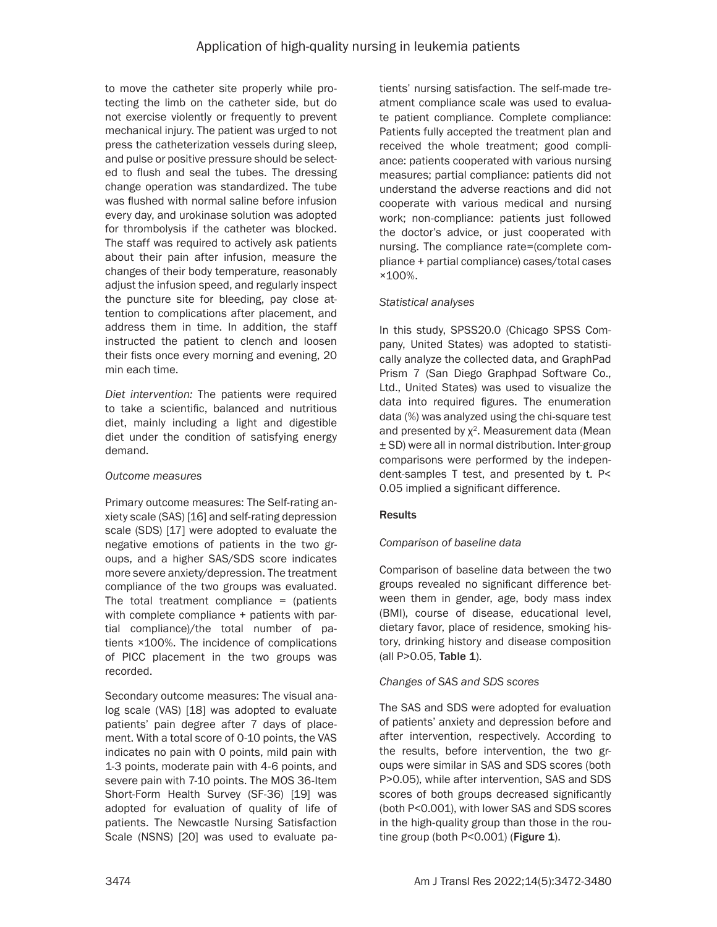to move the catheter site properly while protecting the limb on the catheter side, but do not exercise violently or frequently to prevent mechanical injury. The patient was urged to not press the catheterization vessels during sleep, and pulse or positive pressure should be selected to flush and seal the tubes. The dressing change operation was standardized. The tube was flushed with normal saline before infusion every day, and urokinase solution was adopted for thrombolysis if the catheter was blocked. The staff was required to actively ask patients about their pain after infusion, measure the changes of their body temperature, reasonably adjust the infusion speed, and regularly inspect the puncture site for bleeding, pay close attention to complications after placement, and address them in time. In addition, the staff instructed the patient to clench and loosen their fists once every morning and evening, 20 min each time.

*Diet intervention:* The patients were required to take a scientific, balanced and nutritious diet, mainly including a light and digestible diet under the condition of satisfying energy demand.

# *Outcome measures*

Primary outcome measures: The Self-rating anxiety scale (SAS) [16] and self-rating depression scale (SDS) [17] were adopted to evaluate the negative emotions of patients in the two groups, and a higher SAS/SDS score indicates more severe anxiety/depression. The treatment compliance of the two groups was evaluated. The total treatment compliance  $=$  (patients with complete compliance + patients with partial compliance)/the total number of patients ×100%. The incidence of complications of PICC placement in the two groups was recorded.

Secondary outcome measures: The visual analog scale (VAS) [18] was adopted to evaluate patients' pain degree after 7 days of placement. With a total score of 0-10 points, the VAS indicates no pain with 0 points, mild pain with 1-3 points, moderate pain with 4-6 points, and severe pain with 7-10 points. The MOS 36-Item Short-Form Health Survey (SF-36) [19] was adopted for evaluation of quality of life of patients. The Newcastle Nursing Satisfaction Scale (NSNS) [20] was used to evaluate patients' nursing satisfaction. The self-made treatment compliance scale was used to evaluate patient compliance. Complete compliance: Patients fully accepted the treatment plan and received the whole treatment; good compliance: patients cooperated with various nursing measures; partial compliance: patients did not understand the adverse reactions and did not cooperate with various medical and nursing work; non-compliance: patients just followed the doctor's advice, or just cooperated with nursing. The compliance rate=(complete compliance + partial compliance) cases/total cases ×100%.

# *Statistical analyses*

In this study, SPSS20.0 (Chicago SPSS Company, United States) was adopted to statistically analyze the collected data, and GraphPad Prism 7 (San Diego Graphpad Software Co., Ltd., United States) was used to visualize the data into required figures. The enumeration data (%) was analyzed using the chi-square test and presented by  $\chi^2$ . Measurement data (Mean ± SD) were all in normal distribution. Inter-group comparisons were performed by the independent-samples T test, and presented by t. P< 0.05 implied a significant difference.

# **Results**

# *Comparison of baseline data*

Comparison of baseline data between the two groups revealed no significant difference between them in gender, age, body mass index (BMI), course of disease, educational level, dietary favor, place of residence, smoking history, drinking history and disease composition (all P>0.05, Table 1).

# *Changes of SAS and SDS scores*

The SAS and SDS were adopted for evaluation of patients' anxiety and depression before and after intervention, respectively. According to the results, before intervention, the two groups were similar in SAS and SDS scores (both P>0.05), while after intervention, SAS and SDS scores of both groups decreased significantly (both P<0.001), with lower SAS and SDS scores in the high-quality group than those in the routine group (both P<0.001) (Figure 1).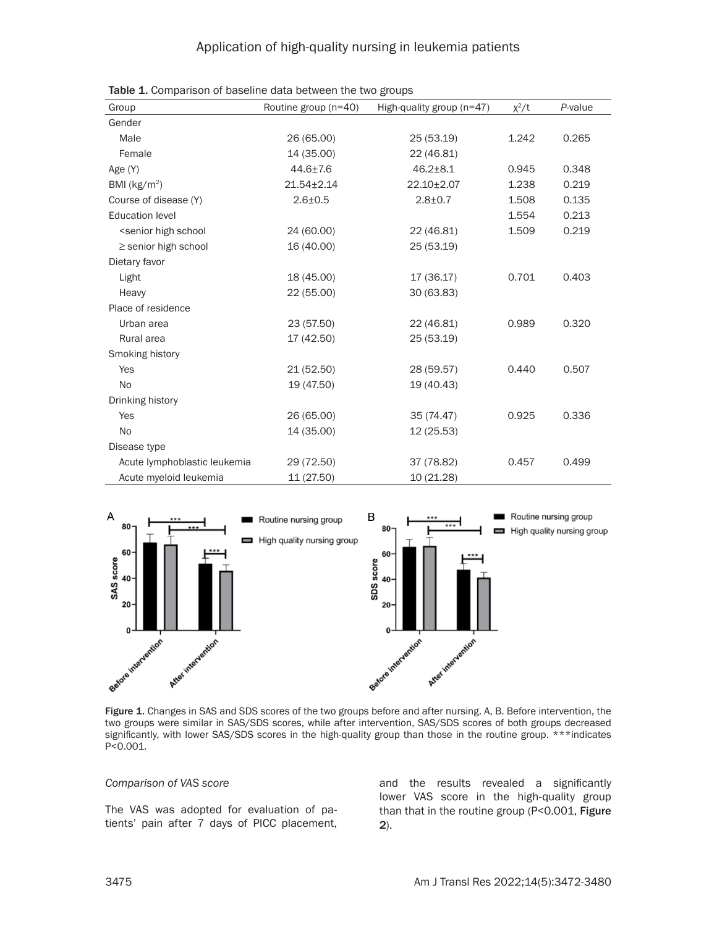| Group                                                                                                        | Routine group (n=40) | High-quality group (n=47) | $x^2/t$ | P-value |
|--------------------------------------------------------------------------------------------------------------|----------------------|---------------------------|---------|---------|
| Gender                                                                                                       |                      |                           |         |         |
| Male                                                                                                         | 26 (65.00)           | 25 (53.19)                | 1.242   | 0.265   |
| Female                                                                                                       | 14 (35.00)           | 22 (46.81)                |         |         |
| Age (Y)                                                                                                      | $44.6 \pm 7.6$       | $46.2 \pm 8.1$            | 0.945   | 0.348   |
| BMI $(kg/m2)$                                                                                                | $21.54 \pm 2.14$     | $22.10 \pm 2.07$          | 1.238   | 0.219   |
| Course of disease (Y)                                                                                        | $2.6 + 0.5$          | $2.8 + 0.7$               | 1.508   | 0.135   |
| <b>Education level</b>                                                                                       |                      |                           | 1.554   | 0.213   |
| <senior high="" school<="" td=""><td>24 (60.00)</td><td>22 (46.81)</td><td>1.509</td><td>0.219</td></senior> | 24 (60.00)           | 22 (46.81)                | 1.509   | 0.219   |
| $\ge$ senior high school                                                                                     | 16 (40.00)           | 25 (53.19)                |         |         |
| Dietary favor                                                                                                |                      |                           |         |         |
| Light                                                                                                        | 18 (45.00)           | 17(36.17)                 | 0.701   | 0.403   |
| Heavy                                                                                                        | 22 (55.00)           | 30 (63.83)                |         |         |
| Place of residence                                                                                           |                      |                           |         |         |
| Urban area                                                                                                   | 23 (57.50)           | 22 (46.81)                | 0.989   | 0.320   |
| Rural area                                                                                                   | 17 (42.50)           | 25 (53.19)                |         |         |
| Smoking history                                                                                              |                      |                           |         |         |
| Yes                                                                                                          | 21 (52.50)           | 28 (59.57)                | 0.440   | 0.507   |
| <b>No</b>                                                                                                    | 19 (47.50)           | 19 (40.43)                |         |         |
| Drinking history                                                                                             |                      |                           |         |         |
| Yes                                                                                                          | 26 (65.00)           | 35 (74.47)                | 0.925   | 0.336   |
| No                                                                                                           | 14 (35.00)           | 12(25.53)                 |         |         |
| Disease type                                                                                                 |                      |                           |         |         |
| Acute lymphoblastic leukemia                                                                                 | 29 (72.50)           | 37 (78.82)                | 0.457   | 0.499   |
| Acute myeloid leukemia                                                                                       | 11 (27.50)           | 10 (21.28)                |         |         |

Table 1. Comparison of baseline data between the two groups



Figure 1. Changes in SAS and SDS scores of the two groups before and after nursing. A, B. Before intervention, the two groups were similar in SAS/SDS scores, while after intervention, SAS/SDS scores of both groups decreased significantly, with lower SAS/SDS scores in the high-quality group than those in the routine group. \*\*\*indicates P<0.001.

#### *Comparison of VAS score*

The VAS was adopted for evaluation of patients' pain after 7 days of PICC placement, and the results revealed a significantly lower VAS score in the high-quality group than that in the routine group (P<0.001, Figure 2).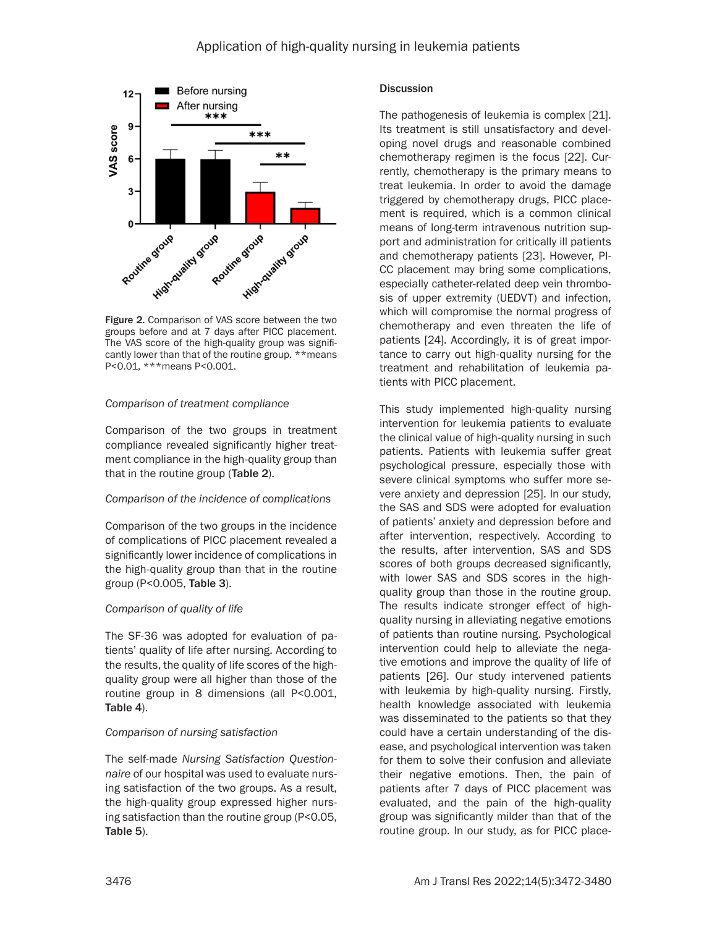

groups before and at 7 days after PICC placement. The VAS score of the high-quality group was significantly lower than that of the routine group. \*\*means P<0.01, \*\*\*means P<0.001.

#### *Comparison of treatment compliance*

Comparison of the two groups in treatment compliance revealed significantly higher treatment compliance in the high-quality group than that in the routine group (Table 2).

#### *Comparison of the incidence of complications*

Comparison of the two groups in the incidence of complications of PICC placement revealed a significantly lower incidence of complications in the high-quality group than that in the routine group (P<0.005, Table 3).

#### *Comparison of quality of life*

The SF-36 was adopted for evaluation of patients' quality of life after nursing. According to the results, the quality of life scores of the highquality group were all higher than those of the routine group in 8 dimensions (all P<0.001, Table 4).

#### *Comparison of nursing satisfaction*

The self-made *Nursing Satisfaction Questionnaire* of our hospital was used to evaluate nursing satisfaction of the two groups. As a result, the high-quality group expressed higher nursing satisfaction than the routine group (P<0.05, Table 5).

## **Discussion**

The pathogenesis of leukemia is complex [21]. Its treatment is still unsatisfactory and developing novel drugs and reasonable combined chemotherapy regimen is the focus [22]. Currently, chemotherapy is the primary means to treat leukemia. In order to avoid the damage triggered by chemotherapy drugs, PICC placement is required, which is a common clinical means of long-term intravenous nutrition support and administration for critically ill patients and chemotherapy patients [23]. However, PI-CC placement may bring some complications, especially catheter-related deep vein thrombosis of upper extremity (UEDVT) and infection, which will compromise the normal progress of chemotherapy and even threaten the life of patients [24]. Accordingly, it is of great importance to carry out high-quality nursing for the treatment and rehabilitation of leukemia patients with PICC placement.

This study implemented high-quality nursing intervention for leukemia patients to evaluate the clinical value of high-quality nursing in such patients. Patients with leukemia suffer great psychological pressure, especially those with severe clinical symptoms who suffer more severe anxiety and depression [25]. In our study, the SAS and SDS were adopted for evaluation of patients' anxiety and depression before and after intervention, respectively. According to the results, after intervention, SAS and SDS scores of both groups decreased significantly, with lower SAS and SDS scores in the highquality group than those in the routine group. The results indicate stronger effect of highquality nursing in alleviating negative emotions of patients than routine nursing. Psychological intervention could help to alleviate the negative emotions and improve the quality of life of patients [26]. Our study intervened patients with leukemia by high-quality nursing. Firstly, health knowledge associated with leukemia was disseminated to the patients so that they could have a certain understanding of the disease, and psychological intervention was taken for them to solve their confusion and alleviate their negative emotions. Then, the pain of patients after 7 days of PICC placement was evaluated, and the pain of the high-quality group was significantly milder than that of the routine group. In our study, as for PICC place-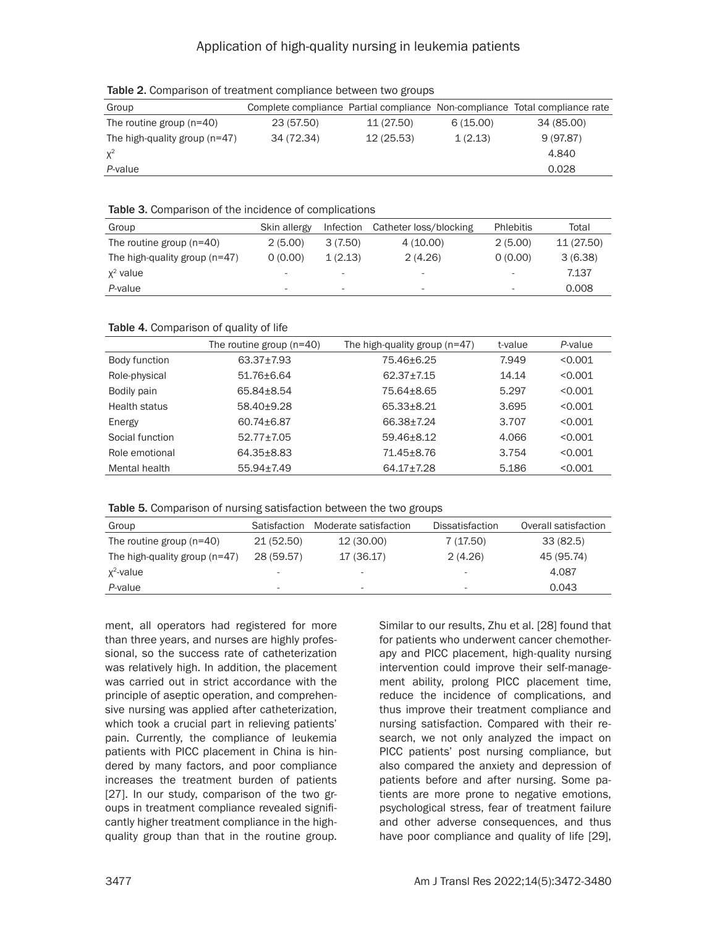# Application of high-quality nursing in leukemia patients

| Group                           |            |            |          | Complete compliance Partial compliance Non-compliance Total compliance rate |  |  |  |
|---------------------------------|------------|------------|----------|-----------------------------------------------------------------------------|--|--|--|
| The routine group $(n=40)$      | 23 (57.50) | 11 (27.50) | 6(15.00) | 34 (85.00)                                                                  |  |  |  |
| The high-quality group $(n=47)$ | 34 (72.34) | 12(25.53)  | 1(2.13)  | 9(97.87)                                                                    |  |  |  |
| $\chi^2$                        |            |            |          | 4.840                                                                       |  |  |  |
| P-value                         |            |            |          | 0.028                                                                       |  |  |  |

Table 2. Comparison of treatment compliance between two groups

#### Table 3. Comparison of the incidence of complications

| Group                           | Skin allergy             | Infection                | Catheter loss/blocking   | <b>Phlebitis</b>         | Total      |
|---------------------------------|--------------------------|--------------------------|--------------------------|--------------------------|------------|
| The routine group $(n=40)$      | 2(5.00)                  | 3(7.50)                  | 4(10.00)                 | 2(5.00)                  | 11 (27.50) |
| The high-quality group $(n=47)$ | 0(0.00)                  | 1(2.13)                  | 2(4.26)                  | 0(0.00)                  | 3(6.38)    |
| $x^2$ value                     | $\overline{\phantom{a}}$ |                          | -                        | $\sim$                   | 7.137      |
| P-value                         | $\overline{\phantom{a}}$ | $\overline{\phantom{a}}$ | $\overline{\phantom{a}}$ | $\overline{\phantom{a}}$ | 0.008      |

#### Table 4. Comparison of quality of life

|                 | The routine group $(n=40)$ | The high-quality group $(n=47)$ | t-value | P-value |
|-----------------|----------------------------|---------------------------------|---------|---------|
| Body function   | 63.37±7.93                 | 75.46±6.25                      | 7.949   | < 0.001 |
| Role-physical   | 51.76+6.64                 | $62.37 + 7.15$                  | 14.14   | < 0.001 |
| Bodily pain     | 65.84+8.54                 | 75.64+8.65                      | 5.297   | < 0.001 |
| Health status   | 58.40+9.28                 | 65.33+8.21                      | 3.695   | < 0.001 |
| Energy          | 60.74±6.87                 | 66.38+7.24                      | 3.707   | < 0.001 |
| Social function | $52.77 + 7.05$             | 59.46+8.12                      | 4.066   | < 0.001 |
| Role emotional  | 64.35+8.83                 | 71.45+8.76                      | 3.754   | < 0.001 |
| Mental health   | $55.94 \pm 7.49$           | 64.17±7.28                      | 5.186   | < 0.001 |

Table 5. Comparison of nursing satisfaction between the two groups

| Group                           | Satisfaction | Moderate satisfaction | <b>Dissatisfaction</b> | Overall satisfaction |
|---------------------------------|--------------|-----------------------|------------------------|----------------------|
| The routine group $(n=40)$      | 21 (52.50)   | 12 (30.00)            | 7(17.50)               | 33(82.5)             |
| The high-quality group $(n=47)$ | 28 (59.57)   | 17 (36.17)            | 2(4.26)                | 45 (95.74)           |
| $x^2$ -value                    |              | -                     |                        | 4.087                |
| P-value                         |              | $\sim$                |                        | 0.043                |

ment, all operators had registered for more than three years, and nurses are highly professional, so the success rate of catheterization was relatively high. In addition, the placement was carried out in strict accordance with the principle of aseptic operation, and comprehensive nursing was applied after catheterization, which took a crucial part in relieving patients' pain. Currently, the compliance of leukemia patients with PICC placement in China is hindered by many factors, and poor compliance increases the treatment burden of patients [27]. In our study, comparison of the two groups in treatment compliance revealed significantly higher treatment compliance in the highquality group than that in the routine group.

Similar to our results, Zhu et al. [28] found that for patients who underwent cancer chemotherapy and PICC placement, high-quality nursing intervention could improve their self-management ability, prolong PICC placement time, reduce the incidence of complications, and thus improve their treatment compliance and nursing satisfaction. Compared with their research, we not only analyzed the impact on PICC patients' post nursing compliance, but also compared the anxiety and depression of patients before and after nursing. Some patients are more prone to negative emotions, psychological stress, fear of treatment failure and other adverse consequences, and thus have poor compliance and quality of life [29],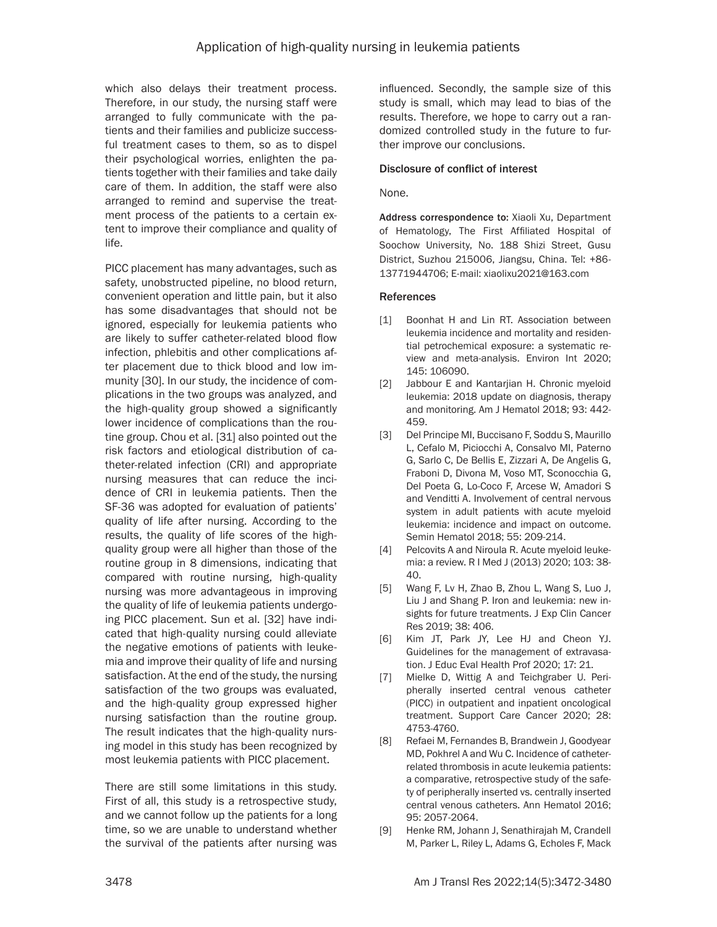which also delays their treatment process. Therefore, in our study, the nursing staff were arranged to fully communicate with the patients and their families and publicize successful treatment cases to them, so as to dispel their psychological worries, enlighten the patients together with their families and take daily care of them. In addition, the staff were also arranged to remind and supervise the treatment process of the patients to a certain extent to improve their compliance and quality of life.

PICC placement has many advantages, such as safety, unobstructed pipeline, no blood return, convenient operation and little pain, but it also has some disadvantages that should not be ignored, especially for leukemia patients who are likely to suffer catheter-related blood flow infection, phlebitis and other complications after placement due to thick blood and low immunity [30]. In our study, the incidence of complications in the two groups was analyzed, and the high-quality group showed a significantly lower incidence of complications than the routine group. Chou et al. [31] also pointed out the risk factors and etiological distribution of catheter-related infection (CRI) and appropriate nursing measures that can reduce the incidence of CRI in leukemia patients. Then the SF-36 was adopted for evaluation of patients' quality of life after nursing. According to the results, the quality of life scores of the highquality group were all higher than those of the routine group in 8 dimensions, indicating that compared with routine nursing, high-quality nursing was more advantageous in improving the quality of life of leukemia patients undergoing PICC placement. Sun et al. [32] have indicated that high-quality nursing could alleviate the negative emotions of patients with leukemia and improve their quality of life and nursing satisfaction. At the end of the study, the nursing satisfaction of the two groups was evaluated, and the high-quality group expressed higher nursing satisfaction than the routine group. The result indicates that the high-quality nursing model in this study has been recognized by most leukemia patients with PICC placement.

There are still some limitations in this study. First of all, this study is a retrospective study, and we cannot follow up the patients for a long time, so we are unable to understand whether the survival of the patients after nursing was influenced. Secondly, the sample size of this study is small, which may lead to bias of the results. Therefore, we hope to carry out a randomized controlled study in the future to further improve our conclusions.

## Disclosure of conflict of interest

#### None.

Address correspondence to: Xiaoli Xu, Department of Hematology, The First Affiliated Hospital of Soochow University, No. 188 Shizi Street, Gusu District, Suzhou 215006, Jiangsu, China. Tel: +86- 13771944706; E-mail: xiaolixu2021@163.com

#### References

- [1] Boonhat H and Lin RT. Association between leukemia incidence and mortality and residential petrochemical exposure: a systematic review and meta-analysis. Environ Int 2020; 145: 106090.
- [2] Jabbour E and Kantarijan H. Chronic myeloid leukemia: 2018 update on diagnosis, therapy and monitoring. Am J Hematol 2018; 93: 442- 459.
- [3] Del Principe MI, Buccisano F, Soddu S, Maurillo L, Cefalo M, Piciocchi A, Consalvo MI, Paterno G, Sarlo C, De Bellis E, Zizzari A, De Angelis G, Fraboni D, Divona M, Voso MT, Sconocchia G, Del Poeta G, Lo-Coco F, Arcese W, Amadori S and Venditti A. Involvement of central nervous system in adult patients with acute myeloid leukemia: incidence and impact on outcome. Semin Hematol 2018; 55: 209-214.
- [4] Pelcovits A and Niroula R. Acute myeloid leukemia: a review. R I Med J (2013) 2020; 103: 38- 40.
- [5] Wang F, Lv H, Zhao B, Zhou L, Wang S, Luo J, Liu J and Shang P. Iron and leukemia: new insights for future treatments. J Exp Clin Cancer Res 2019; 38: 406.
- [6] Kim JT, Park JY, Lee HJ and Cheon YJ. Guidelines for the management of extravasation. J Educ Eval Health Prof 2020; 17: 21.
- [7] Mielke D, Wittig A and Teichgraber U. Peripherally inserted central venous catheter (PICC) in outpatient and inpatient oncological treatment. Support Care Cancer 2020; 28: 4753-4760.
- [8] Refaei M, Fernandes B, Brandwein J, Goodyear MD, Pokhrel A and Wu C. Incidence of catheterrelated thrombosis in acute leukemia patients: a comparative, retrospective study of the safety of peripherally inserted vs. centrally inserted central venous catheters. Ann Hematol 2016; 95: 2057-2064.
- [9] Henke RM, Johann J, Senathirajah M, Crandell M, Parker L, Riley L, Adams G, Echoles F, Mack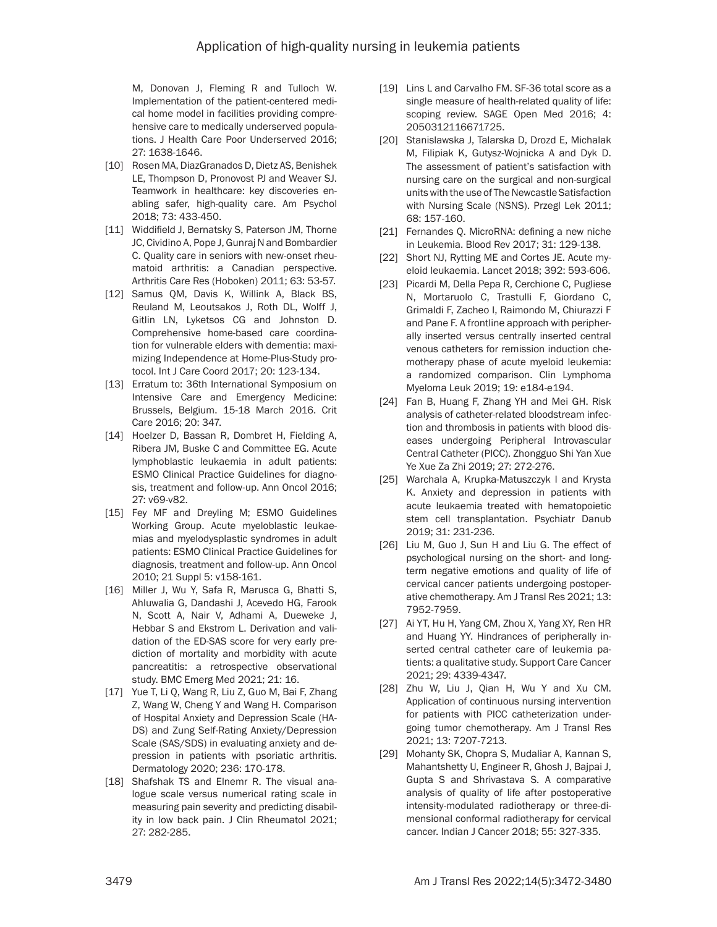M, Donovan J, Fleming R and Tulloch W. Implementation of the patient-centered medical home model in facilities providing comprehensive care to medically underserved populations. J Health Care Poor Underserved 2016; 27: 1638-1646.

- [10] Rosen MA, DiazGranados D, Dietz AS, Benishek LE, Thompson D, Pronovost PJ and Weaver SJ. Teamwork in healthcare: key discoveries enabling safer, high-quality care. Am Psychol 2018; 73: 433-450.
- [11] Widdifield J, Bernatsky S, Paterson JM, Thorne JC, Cividino A, Pope J, Gunraj N and Bombardier C. Quality care in seniors with new-onset rheumatoid arthritis: a Canadian perspective. Arthritis Care Res (Hoboken) 2011; 63: 53-57.
- [12] Samus QM, Davis K, Willink A, Black BS, Reuland M, Leoutsakos J, Roth DL, Wolff J, Gitlin LN, Lyketsos CG and Johnston D. Comprehensive home-based care coordination for vulnerable elders with dementia: maximizing Independence at Home-Plus-Study protocol. Int J Care Coord 2017; 20: 123-134.
- [13] Erratum to: 36th International Symposium on Intensive Care and Emergency Medicine: Brussels, Belgium. 15-18 March 2016. Crit Care 2016; 20: 347.
- [14] Hoelzer D, Bassan R, Dombret H, Fielding A, Ribera JM, Buske C and Committee EG. Acute lymphoblastic leukaemia in adult patients: ESMO Clinical Practice Guidelines for diagnosis, treatment and follow-up. Ann Oncol 2016; 27: v69-v82.
- [15] Fey MF and Dreyling M; ESMO Guidelines Working Group. Acute myeloblastic leukaemias and myelodysplastic syndromes in adult patients: ESMO Clinical Practice Guidelines for diagnosis, treatment and follow-up. Ann Oncol 2010; 21 Suppl 5: v158-161.
- [16] Miller J, Wu Y, Safa R, Marusca G, Bhatti S, Ahluwalia G, Dandashi J, Acevedo HG, Farook N, Scott A, Nair V, Adhami A, Dueweke J, Hebbar S and Ekstrom L. Derivation and validation of the ED-SAS score for very early prediction of mortality and morbidity with acute pancreatitis: a retrospective observational study. BMC Emerg Med 2021; 21: 16.
- [17] Yue T, Li Q, Wang R, Liu Z, Guo M, Bai F, Zhang Z, Wang W, Cheng Y and Wang H. Comparison of Hospital Anxiety and Depression Scale (HA-DS) and Zung Self-Rating Anxiety/Depression Scale (SAS/SDS) in evaluating anxiety and depression in patients with psoriatic arthritis. Dermatology 2020; 236: 170-178.
- [18] Shafshak TS and Elnemr R. The visual analogue scale versus numerical rating scale in measuring pain severity and predicting disability in low back pain. J Clin Rheumatol 2021; 27: 282-285.
- [19] Lins L and Carvalho FM. SF-36 total score as a single measure of health-related quality of life: scoping review. SAGE Open Med 2016; 4: 2050312116671725.
- [20] Stanislawska J, Talarska D, Drozd E, Michalak M, Filipiak K, Gutysz-Wojnicka A and Dyk D. The assessment of patient's satisfaction with nursing care on the surgical and non-surgical units with the use of The Newcastle Satisfaction with Nursing Scale (NSNS). Przegl Lek 2011; 68: 157-160.
- [21] Fernandes Q. MicroRNA: defining a new niche in Leukemia. Blood Rev 2017; 31: 129-138.
- [22] Short NJ, Rytting ME and Cortes JE. Acute myeloid leukaemia. Lancet 2018; 392: 593-606.
- [23] Picardi M, Della Pepa R, Cerchione C, Pugliese N, Mortaruolo C, Trastulli F, Giordano C, Grimaldi F, Zacheo I, Raimondo M, Chiurazzi F and Pane F. A frontline approach with peripherally inserted versus centrally inserted central venous catheters for remission induction chemotherapy phase of acute myeloid leukemia: a randomized comparison. Clin Lymphoma Myeloma Leuk 2019; 19: e184-e194.
- [24] Fan B, Huang F, Zhang YH and Mei GH. Risk analysis of catheter-related bloodstream infection and thrombosis in patients with blood diseases undergoing Peripheral Introvascular Central Catheter (PICC). Zhongguo Shi Yan Xue Ye Xue Za Zhi 2019; 27: 272-276.
- [25] Warchala A, Krupka-Matuszczyk I and Krysta K. Anxiety and depression in patients with acute leukaemia treated with hematopoietic stem cell transplantation. Psychiatr Danub 2019; 31: 231-236.
- [26] Liu M, Guo J, Sun H and Liu G. The effect of psychological nursing on the short- and longterm negative emotions and quality of life of cervical cancer patients undergoing postoperative chemotherapy. Am J Transl Res 2021; 13: 7952-7959.
- [27] Ai YT, Hu H, Yang CM, Zhou X, Yang XY, Ren HR and Huang YY. Hindrances of peripherally inserted central catheter care of leukemia patients: a qualitative study. Support Care Cancer 2021; 29: 4339-4347.
- [28] Zhu W, Liu J, Qian H, Wu Y and Xu CM. Application of continuous nursing intervention for patients with PICC catheterization undergoing tumor chemotherapy. Am J Transl Res 2021; 13: 7207-7213.
- [29] Mohanty SK, Chopra S, Mudaliar A, Kannan S, Mahantshetty U, Engineer R, Ghosh J, Bajpai J, Gupta S and Shrivastava S. A comparative analysis of quality of life after postoperative intensity-modulated radiotherapy or three-dimensional conformal radiotherapy for cervical cancer. Indian J Cancer 2018; 55: 327-335.